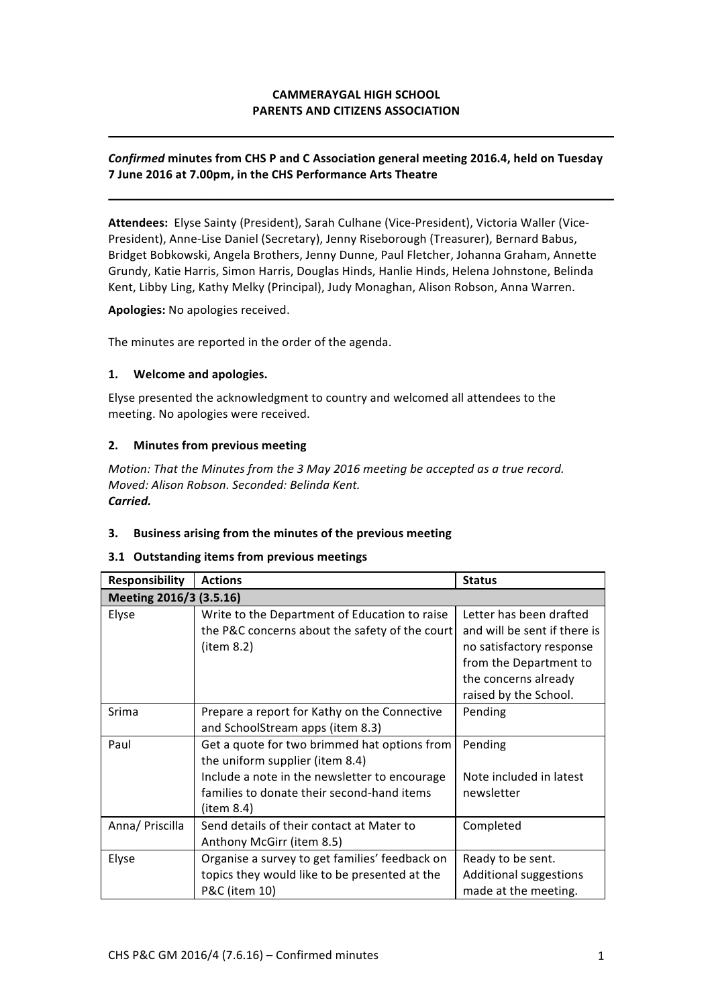# **CAMMERAYGAL HIGH SCHOOL PARENTS AND CITIZENS ASSOCIATION**

# **Confirmed minutes from CHS P and C Association general meeting 2016.4, held on Tuesday 7 June 2016 at 7.00pm, in the CHS Performance Arts Theatre**

Attendees: Elyse Sainty (President), Sarah Culhane (Vice-President), Victoria Waller (Vice-President), Anne-Lise Daniel (Secretary), Jenny Riseborough (Treasurer), Bernard Babus, Bridget Bobkowski, Angela Brothers, Jenny Dunne, Paul Fletcher, Johanna Graham, Annette Grundy, Katie Harris, Simon Harris, Douglas Hinds, Hanlie Hinds, Helena Johnstone, Belinda Kent, Libby Ling, Kathy Melky (Principal), Judy Monaghan, Alison Robson, Anna Warren.

Apologies: No apologies received.

The minutes are reported in the order of the agenda.

#### **1. Welcome and apologies.**

Elyse presented the acknowledgment to country and welcomed all attendees to the meeting. No apologies were received.

### **2.** Minutes from previous meeting

*Motion: That the Minutes from the 3 May 2016 meeting be accepted as a true record. Moved: Alison Robson. Seconded: Belinda Kent. Carried.*

### **3.** Business arising from the minutes of the previous meeting

#### **3.1 Outstanding items from previous meetings**

| Responsibility          | <b>Actions</b>                                 | <b>Status</b>                |
|-------------------------|------------------------------------------------|------------------------------|
| Meeting 2016/3 (3.5.16) |                                                |                              |
| Elyse                   | Write to the Department of Education to raise  | Letter has been drafted      |
|                         | the P&C concerns about the safety of the court | and will be sent if there is |
|                         | item 8.2)                                      | no satisfactory response     |
|                         |                                                | from the Department to       |
|                         |                                                | the concerns already         |
|                         |                                                | raised by the School.        |
| Srima                   | Prepare a report for Kathy on the Connective   | Pending                      |
|                         | and SchoolStream apps (item 8.3)               |                              |
| Paul                    | Get a quote for two brimmed hat options from   | Pending                      |
|                         | the uniform supplier (item 8.4)                |                              |
|                         | Include a note in the newsletter to encourage  | Note included in latest      |
|                         | families to donate their second-hand items     | newsletter                   |
|                         | (item 8.4)                                     |                              |
| Anna/ Priscilla         | Send details of their contact at Mater to      | Completed                    |
|                         | Anthony McGirr (item 8.5)                      |                              |
| Elyse                   | Organise a survey to get families' feedback on | Ready to be sent.            |
|                         | topics they would like to be presented at the  | Additional suggestions       |
|                         | P&C (item 10)                                  | made at the meeting.         |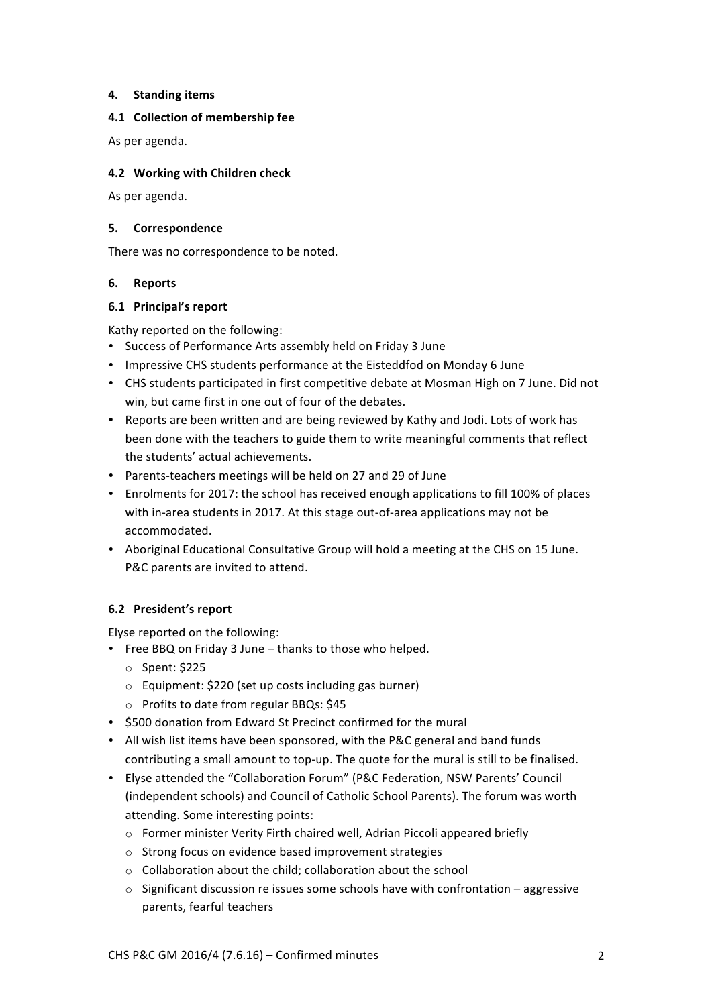### **4. Standing items**

# **4.1 Collection of membership fee**

As per agenda.

# **4.2 Working with Children check**

As per agenda.

### **5. Correspondence**

There was no correspondence to be noted.

# **6. Reports**

# **6.1 Principal's report**

Kathy reported on the following:

- Success of Performance Arts assembly held on Friday 3 June
- Impressive CHS students performance at the Eisteddfod on Monday 6 June
- CHS students participated in first competitive debate at Mosman High on 7 June. Did not win, but came first in one out of four of the debates.
- Reports are been written and are being reviewed by Kathy and Jodi. Lots of work has been done with the teachers to guide them to write meaningful comments that reflect the students' actual achievements.
- Parents-teachers meetings will be held on 27 and 29 of June
- Enrolments for 2017: the school has received enough applications to fill 100% of places with in-area students in 2017. At this stage out-of-area applications may not be accommodated.
- Aboriginal Educational Consultative Group will hold a meeting at the CHS on 15 June. P&C parents are invited to attend.

# **6.2 President's report**

Elyse reported on the following:

- Free BBQ on Friday 3 June thanks to those who helped.
	- $\circ$  Spent: \$225
	- $\circ$  Equipment: \$220 (set up costs including gas burner)
	- $\circ$  Profits to date from regular BBQs: \$45
- \$500 donation from Edward St Precinct confirmed for the mural
- All wish list items have been sponsored, with the P&C general and band funds contributing a small amount to top-up. The quote for the mural is still to be finalised.
- Elyse attended the "Collaboration Forum" (P&C Federation, NSW Parents' Council (independent schools) and Council of Catholic School Parents). The forum was worth attending. Some interesting points:
	- $\circ$  Former minister Verity Firth chaired well, Adrian Piccoli appeared briefly
	- $\circ$  Strong focus on evidence based improvement strategies
	- $\circ$  Collaboration about the child; collaboration about the school
	- $\circ$  Significant discussion re issues some schools have with confrontation aggressive parents, fearful teachers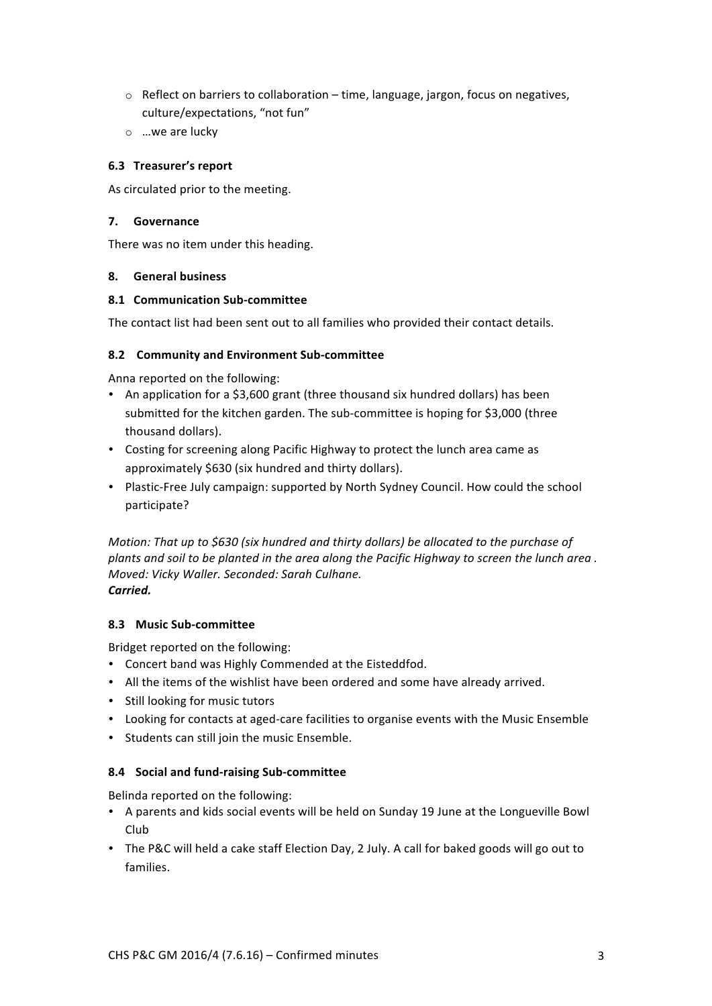- $\circ$  Reflect on barriers to collaboration time, language, jargon, focus on negatives, culture/expectations, "not fun"
- $\circ$  ...we are lucky

# **6.3 Treasurer's report**

As circulated prior to the meeting.

### **7. Governance**

There was no item under this heading.

# **8. General business**

# **8.1 Communication Sub-committee**

The contact list had been sent out to all families who provided their contact details.

# **8.2 Community and Environment Sub-committee**

Anna reported on the following:

- An application for a \$3,600 grant (three thousand six hundred dollars) has been submitted for the kitchen garden. The sub-committee is hoping for \$3,000 (three thousand dollars).
- Costing for screening along Pacific Highway to protect the lunch area came as approximately \$630 (six hundred and thirty dollars).
- Plastic-Free July campaign: supported by North Sydney Council. How could the school participate?

*Motion: That up to \$630 (six hundred and thirty dollars) be allocated to the purchase of* plants and soil to be planted in the area along the Pacific Highway to screen the lunch area. *Moved: Vicky Waller. Seconded: Sarah Culhane. Carried.*

# **8.3 Music Sub-committee**

Bridget reported on the following:

- Concert band was Highly Commended at the Eisteddfod.
- All the items of the wishlist have been ordered and some have already arrived.
- Still looking for music tutors
- Looking for contacts at aged-care facilities to organise events with the Music Ensemble
- Students can still join the music Ensemble.

### **8.4 Social and fund-raising Sub-committee**

Belinda reported on the following:

- A parents and kids social events will be held on Sunday 19 June at the Longueville Bowl Club
- The P&C will held a cake staff Election Day, 2 July. A call for baked goods will go out to families.